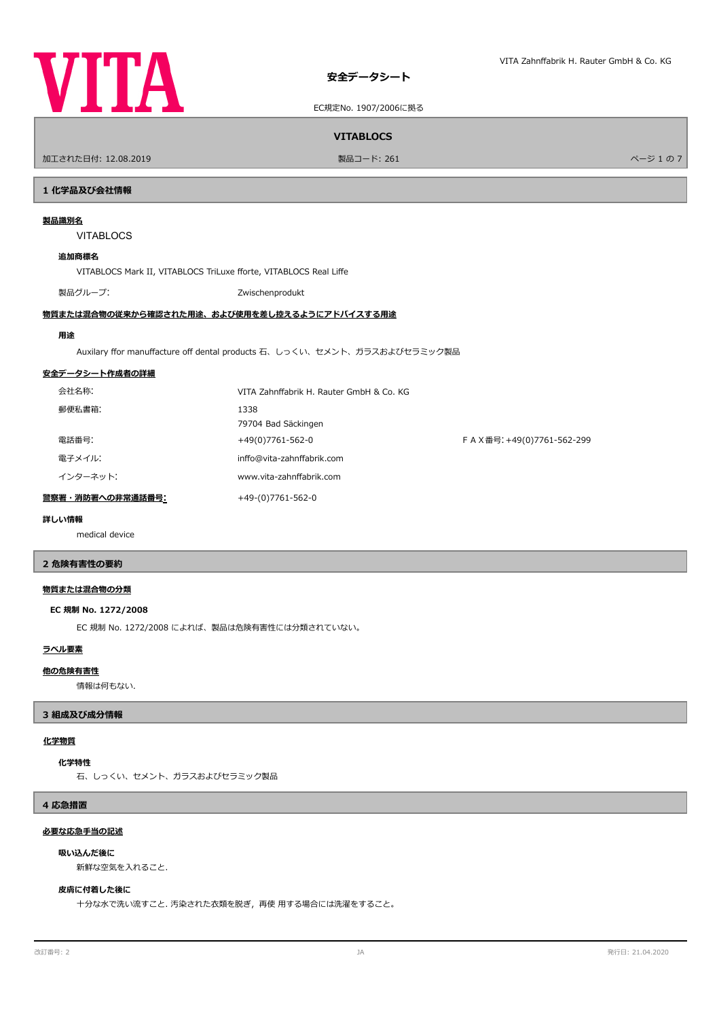



EC規定No. 1907/2006に拠る

# **VITABLOCS**

ールエされた日付: 12.08.2019 しかい インター・シー・ファイル リード: 261 マンター・エンジェクト こころ アイランド かんこうしょう かんこうしょう アイランド かんこうしょう かんこうしょう かんこうしょう

# **1 化学品及び会社情報**

# **製品識別名**

VITABLOCS

# **追加商標名**

VITABLOCS Mark II, VITABLOCS TriLuxe forte, VITABLOCS Real Life

製品グループ: アイディング こうしょう こうしょう こうしょう こうしょう こうしょう こうしょう こうしょう こうしょう こうしょう

# **物質または混合物の従来から確認された用途、および使用を差し控えるようにアドバイスする用途**

### **用途**

Auxilary ffor manuffacture off dental products 石、しっくい、セメント、ガラスおよびセラミック製品

# **安全データシート作成者の詳細**

|                  | 会社名称:    | VITA Zahnffabrik H. Rauter GmbH & Co. KG |                           |
|------------------|----------|------------------------------------------|---------------------------|
|                  | 郵便私書箱:   | 1338                                     |                           |
|                  |          | 79704 Bad Säckingen                      |                           |
|                  | 電話番号:    | +49(0)7761-562-0                         | FAX番号: +49(0)7761-562-299 |
|                  | 電子メイル:   | inffo@vita-zahnffabrik.com               |                           |
|                  | インターネット: | www.vita-zahnffabrik.com                 |                           |
| 警察署・消防署への非常通話番号: |          | +49-(0)7761-562-0                        |                           |

# **詳しい情報**

medical device

# **2 危険有害性の要約**

# **物質または混合物の分類**

### **EC 規制 No. 1272/2008**

EC 規制 No. 1272/2008 によれば、製品は危険有害性には分類されていない。

# **ラベル要素**

### **他の危険有害性**

情報は何もない.

# **3 組成及び成分情報**

# **化学物質**

### **化学特性**

石、しっくい、セメント、ガラスおよびセラミック製品

# **4 応急措置**

# **必要な応急手当の記述**

# **吸い込んだ後に**

新鮮な空気を入れること.

# **皮膚に付着した後に**

十分な水で洗い流すこと. 汚染された衣類を脱ぎ,再使 用する場合には洗濯をすること。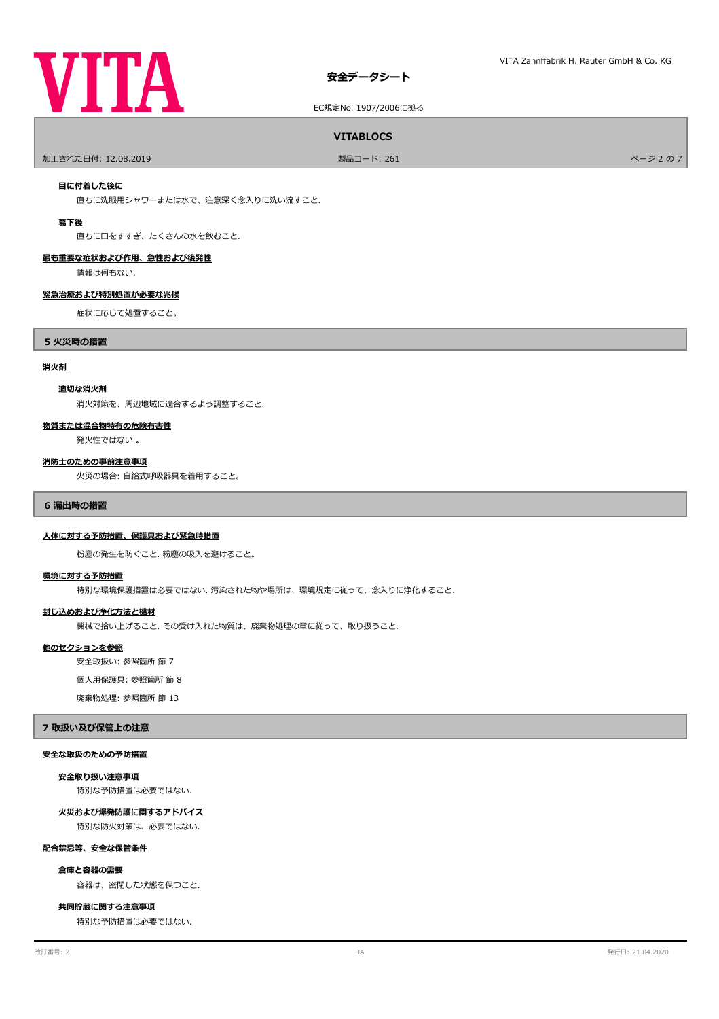# **VITA**

# **安全データシート**

EC規定No. 1907/2006に拠る

# **VITABLOCS**

ールエされた日付: 12.08.2019 しかい こうしょう かんこうしゃ リード: 261 しかい こうしょう アイディング・スタック かんこうしょう かんこうしょう アイディング アイディング かんきょう かんこうし

# **目に付着した後に**

直ちに洗眼用シャワーまたは水で、注意深く念入りに洗い流すこと.

### **葛下後**

直ちに口をすすぎ、たくさんの水を飲むこと.

# **最も重要な症状および作用、急性および後発性**

情報は何もない.

# **緊急治療および特別処置が必要な兆候**

症状に応じて処置すること。

# **5 火災時の措置**

# **消火剤**

# **適切な消火剤**

消火対策を、周辺地域に適合するよう調整すること.

### **物質または混合物特有の危険有害性**

発火性ではない 。

### **消防士のための事前注意事項**

火災の場合: 自給式呼吸器具を着用すること。

### **6 漏出時の措置**

# **人体に対する予防措置、保護具および緊急時措置**

粉塵の発生を防ぐこと. 粉塵の吸入を避けること。

# **環境に対する予防措置**

特別な環境保護措置は必要ではない. 汚染された物や場所は、環境規定に従って、念入りに浄化すること.

# **封じ込めおよび浄化方法と機材**

機械で拾い上げること. その受け入れた物質は、廃棄物処理の章に従って、取り扱うこと.

### **他のセクションを参照**

安全取扱い: 参照箇所 節 7

# 個人用保護具: 参照箇所 節 8

廃棄物処理: 参照箇所 節 13

### **7 取扱い及び保管上の注意**

# **安全な取扱のための予防措置**

### **安全取り扱い注意事項**

特別な予防措置は必要ではない.

# **火災および爆発防護に関するアドバイス**

特別な防火対策は、必要ではない.

# **配合禁忌等、安全な保管条件**

# **倉庫と容器の需要**

容器は、密閉した状態を保つこと.

# **共同貯蔵に関する注意事項**

特別な予防措置は必要ではない.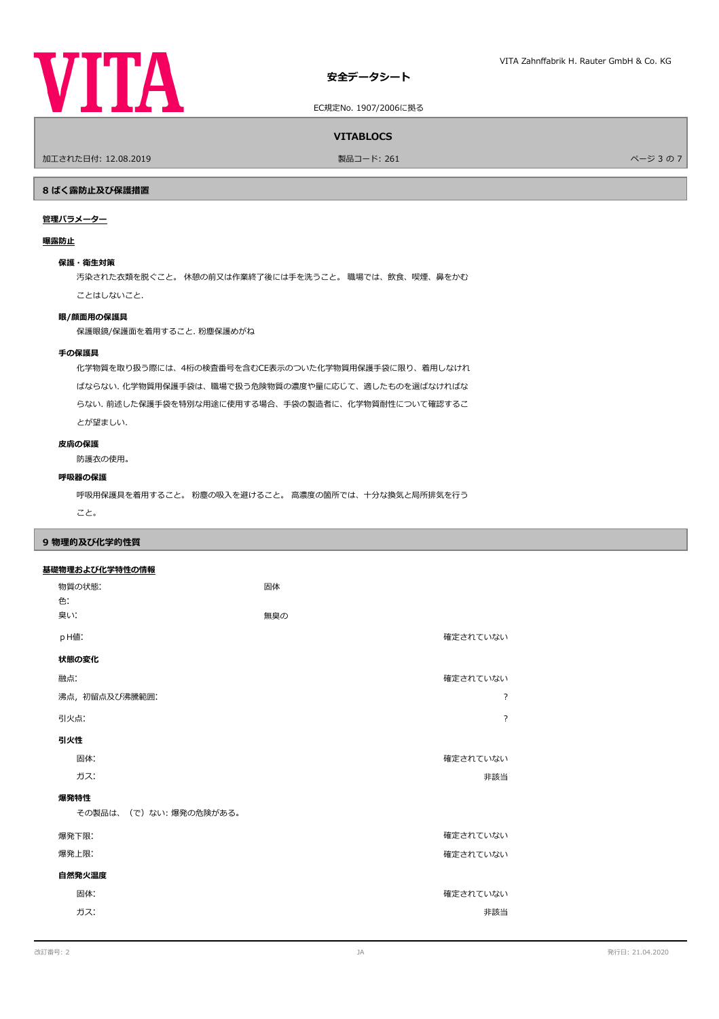

EC規定No. 1907/2006に拠る

**VITABLOCS**

ールエされた日付: 12.08.2019 しかい こうしょう かんこうしゃ リード: 261 しかい こうしょう かんこうしょう かんこう スタック かんこうしょう かんこうしょう かんこうしょう かんこうしょう かんこうしょう

# **8 ばく露防止及び保護措置**

# **管理パラメーター**

# **曝露防止**

# **保護・衛生対策**

汚染された衣類を脱ぐこと。 休憩の前又は作業終了後には手を洗うこと。 職場では、飲食、喫煙、鼻をかむ ことはしないこと.

# **眼/顔面用の保護具**

保護眼鏡/保護面を着用すること. 粉塵保護めがね

# **手の保護具**

化学物質を取り扱う際には、4桁の検査番号を含むCE表示のついた化学物質用保護手袋に限り、着用しなけれ ばならない. 化学物質用保護手袋は、職場で扱う危険物質の濃度や量に応じて、適したものを選ばなければな らない. 前述した保護手袋を特別な用途に使用する場合、手袋の製造者に、化学物質耐性について確認するこ とが望ましい.

# **皮膚の保護**

防護衣の使用。

# **呼吸器の保護**

呼吸用保護具を着用すること。 粉塵の吸入を避けること。 高濃度の箇所では、十分な換気と局所排気を行う

こと。

# **9 物理的及び化学的性質**

# **基礎物理および化学特性の情報**

| 物質の状態:<br>色.          | 固体  |                |  |  |  |
|-----------------------|-----|----------------|--|--|--|
| 臭い:                   | 無臭の |                |  |  |  |
| pH值:                  |     | 確定されていない       |  |  |  |
| 状態の変化                 |     |                |  |  |  |
| 融点:                   |     | 確定されていない       |  |  |  |
| 沸点, 初留点及び沸騰範囲:        |     | ?              |  |  |  |
| 引火点:                  |     | $\overline{?}$ |  |  |  |
| 引火性                   |     |                |  |  |  |
| 固体:                   |     | 確定されていない       |  |  |  |
| ガス:                   |     | 非該当            |  |  |  |
| 爆発特性                  |     |                |  |  |  |
| その製品は、(で)ない:爆発の危険がある。 |     |                |  |  |  |
| 爆発下限:                 |     | 確定されていない       |  |  |  |
| 爆発上限:                 |     | 確定されていない       |  |  |  |
| 自然発火温度                |     |                |  |  |  |
| 固体:                   |     | 確定されていない       |  |  |  |
| ガス:                   |     | 非該当            |  |  |  |
|                       |     |                |  |  |  |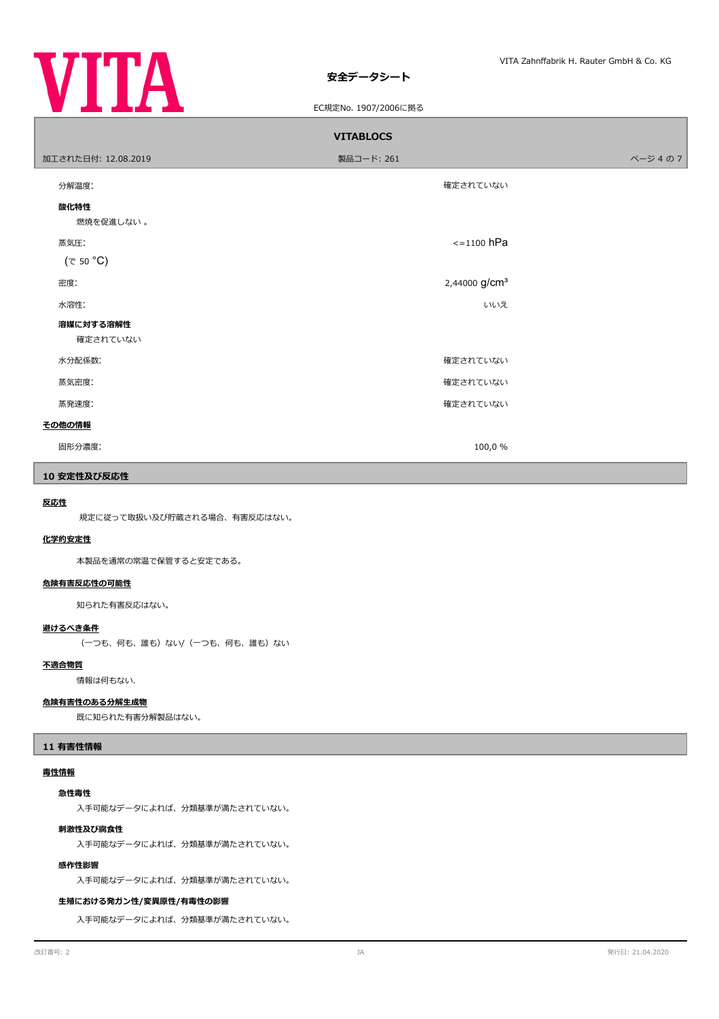

# **安全データシート**

۰

# EC規定No. 1907/2006に拠る

| <b>VITABLOCS</b>       |                           |        |  |  |  |
|------------------------|---------------------------|--------|--|--|--|
| 加工された日付: 12.08.2019    | 製品コード: 261                | ページ4の7 |  |  |  |
| 分解温度:                  | 確定されていない                  |        |  |  |  |
| 酸化特性<br>燃焼を促進しない。      |                           |        |  |  |  |
| 蒸気圧:<br>$(\tau 50 °C)$ | $\le$ =1100 hPa           |        |  |  |  |
| 密度:                    | 2,44000 g/cm <sup>3</sup> |        |  |  |  |
| 水溶性:                   | いいえ                       |        |  |  |  |
| 溶媒に対する溶解性<br>確定されていない  |                           |        |  |  |  |
| 水分配係数:                 | 確定されていない                  |        |  |  |  |
| 蒸気密度:                  | 確定されていない                  |        |  |  |  |
| 蒸発速度:                  | 確定されていない                  |        |  |  |  |
| その他の情報                 |                           |        |  |  |  |
| 固形分濃度:                 | 100,0 %                   |        |  |  |  |

# **10 安定性及び反応性**

# **反応性**

規定に従って取扱い及び貯蔵される場合、有害反応はない。

# **化学的安定性**

本製品を通常の常温で保管すると安定である。

# **危険有害反応性の可能性**

知られた有害反応はない。

# **避けるべき条件**

(一つも、何も、誰も)ない/(一つも、何も、誰も)ない

# **不適合物質**

情報は何もない.

# **危険有害性のある分解生成物**

既に知られた有害分解製品はない。

# **11 有害性情報**

# **毒性情報**

### **急性毒性**

入手可能なデータによれば、分類基準が満たされていない。

# **刺激性及び腐食性**

入手可能なデータによれば、分類基準が満たされていない。

# **感作性影響**

入手可能なデータによれば、分類基準が満たされていない。

# **生殖における発ガン性/変異原性/有毒性の影響**

入手可能なデータによれば、分類基準が満たされていない。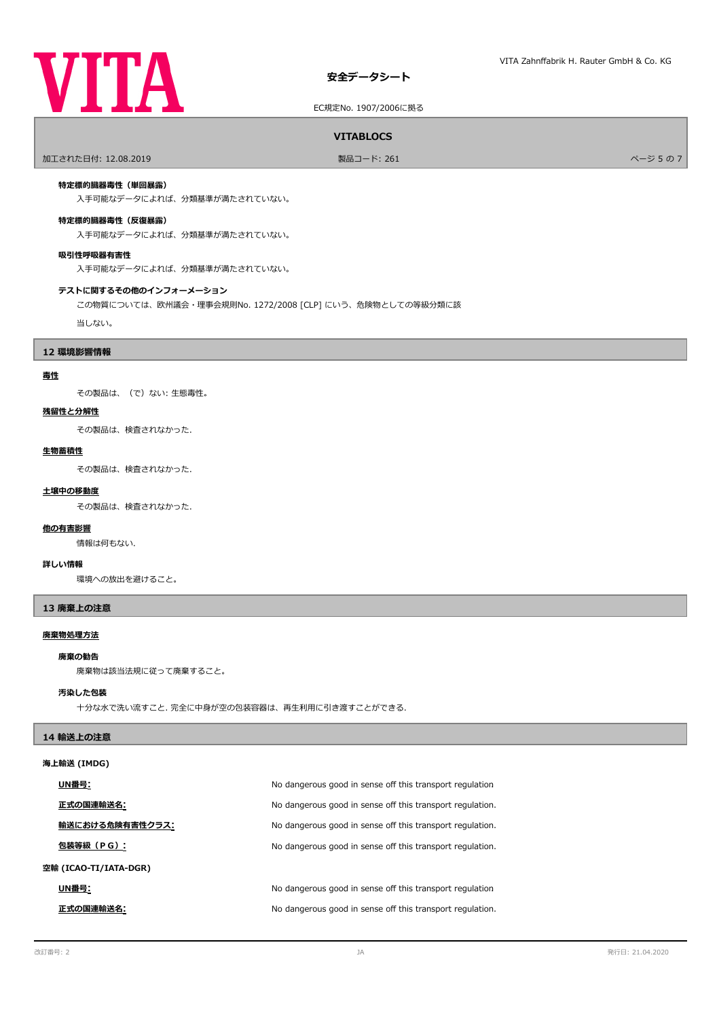# **VITA**

# **安全データシート**

EC規定No. 1907/2006に拠る

# **VITABLOCS**

ールエされた日付: 12.08.2019 しかい こうしょう おおとこ かんきょう かんきょう 製品コード: 261 しかい こうしょう アイエンジェクト しゅうしょう ページ 5 の 7

# **特定標的臓器毒性(単回暴露)**

入手可能なデータによれば、分類基準が満たされていない。

# **特定標的臓器毒性(反復暴露)**

入手可能なデータによれば、分類基準が満たされていない。

# **吸引性呼吸器有害性**

入手可能なデータによれば、分類基準が満たされていない。

### **テストに関するその他のインフォーメーション**

この物質については、欧州議会・理事会規則No. 1272/2008 [CLP] にいう、危険物としての等級分類に該

当しない。

# **12 環境影響情報**

# **毒性**

その製品は、(で)ない: 生態毒性。

# **残留性と分解性**

その製品は、検査されなかった.

### **生物蓄積性**

その製品は、検査されなかった.

# **土壌中の移動度**

その製品は、検査されなかった.

# **他の有害影響**

情報は何もない.

# **詳しい情報**

環境への放出を避けること。

# **13 廃棄上の注意**

# **廃棄物処理方法**

# **廃棄の勧告**

廃棄物は該当法規に従って廃棄すること。

# **汚染した包装**

十分な水で洗い流すこと. 完全に中身が空の包装容器は、再生利用に引き渡すことができる.

# **14 輸送上の注意**

# **海上輸送 (IMDG)**

|                       | UN番号:           | No dangerous good in sense off this transport regulation  |
|-----------------------|-----------------|-----------------------------------------------------------|
|                       | 正式の国連輸送名:       | No dangerous good in sense off this transport regulation. |
|                       | 輸送における危険有害性クラス: | No dangerous good in sense off this transport regulation. |
|                       | 包装等級(PG):       | No dangerous good in sense off this transport regulation. |
| 空輸 (ICAO-TI/IATA-DGR) |                 |                                                           |
|                       | UN番号:           | No dangerous good in sense off this transport regulation  |
|                       | 正式の国連輸送名:       | No dangerous good in sense off this transport regulation. |
|                       |                 |                                                           |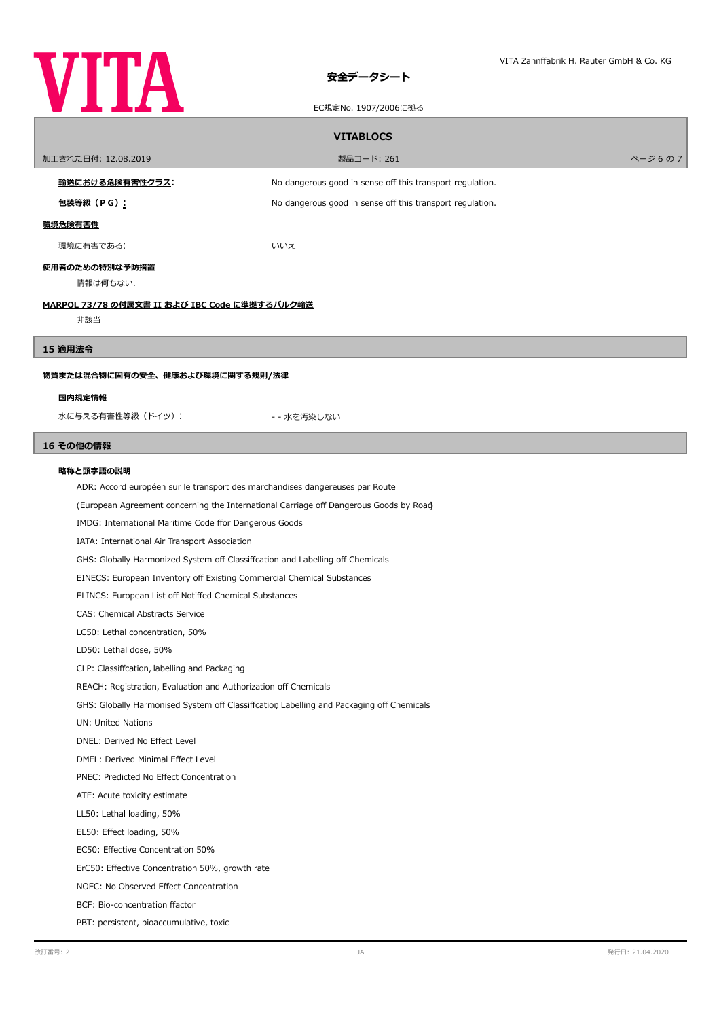

# **安全データシート**

|                                                                              | EC規定No. 1907/2006に拠る                                                                     |         |  |  |  |  |
|------------------------------------------------------------------------------|------------------------------------------------------------------------------------------|---------|--|--|--|--|
|                                                                              | <b>VITABLOCS</b>                                                                         |         |  |  |  |  |
| 加工された日付: 12.08.2019                                                          | 製品コード: 261                                                                               | ページ 6の7 |  |  |  |  |
| <u>輸送における危険有害性クラス:</u>                                                       | No dangerous good in sense off this transport regulation.                                |         |  |  |  |  |
| <u>包装等級(PG):</u>                                                             | No dangerous good in sense off this transport regulation.                                |         |  |  |  |  |
| 環境危険有害性                                                                      |                                                                                          |         |  |  |  |  |
| 環境に有害である:                                                                    | いいえ                                                                                      |         |  |  |  |  |
| 使用者のための特別な予防措置                                                               |                                                                                          |         |  |  |  |  |
| 情報は何もない.                                                                     |                                                                                          |         |  |  |  |  |
|                                                                              | <u>MARPOL 73/78 の付属文書 II および IBC Code に準拠するバルク輸送</u>                                     |         |  |  |  |  |
| 非該当                                                                          |                                                                                          |         |  |  |  |  |
| 15 適用法令                                                                      |                                                                                          |         |  |  |  |  |
| 物質または混合物に固有の安全、健康および環境に関する規則/法律                                              |                                                                                          |         |  |  |  |  |
| 国内規定情報                                                                       |                                                                                          |         |  |  |  |  |
| 水に与える有害性等級 (ドイツ):                                                            | - - 水を汚染しない                                                                              |         |  |  |  |  |
|                                                                              |                                                                                          |         |  |  |  |  |
| 16 その他の情報                                                                    |                                                                                          |         |  |  |  |  |
| 略称と頭字語の説明                                                                    |                                                                                          |         |  |  |  |  |
| ADR: Accord européen sur le transport des marchandises dangereuses par Route |                                                                                          |         |  |  |  |  |
|                                                                              | (European Agreement concerning the International Carriage off Dangerous Goods by Road)   |         |  |  |  |  |
|                                                                              | IMDG: International Maritime Code ffor Dangerous Goods                                   |         |  |  |  |  |
| IATA: International Air Transport Association                                |                                                                                          |         |  |  |  |  |
|                                                                              | GHS: Globally Harmonized System off Classiffcation and Labelling off Chemicals           |         |  |  |  |  |
|                                                                              | EINECS: European Inventory off Existing Commercial Chemical Substances                   |         |  |  |  |  |
|                                                                              | ELINCS: European List off Notiffed Chemical Substances                                   |         |  |  |  |  |
| CAS: Chemical Abstracts Service                                              |                                                                                          |         |  |  |  |  |
| LC50: Lethal concentration, 50%                                              |                                                                                          |         |  |  |  |  |
| LD50: Lethal dose, 50%                                                       |                                                                                          |         |  |  |  |  |
| CLP: Classiffcation, labelling and Packaging                                 |                                                                                          |         |  |  |  |  |
|                                                                              | REACH: Registration, Evaluation and Authorization off Chemicals                          |         |  |  |  |  |
|                                                                              | GHS: Globally Harmonised System off Classiffcation Labelling and Packaging off Chemicals |         |  |  |  |  |
| UN: United Nations                                                           |                                                                                          |         |  |  |  |  |
| DNEL: Derived No Effect Level                                                |                                                                                          |         |  |  |  |  |
| DMEL: Derived Minimal Effect Level                                           |                                                                                          |         |  |  |  |  |
| PNEC: Predicted No Effect Concentration                                      |                                                                                          |         |  |  |  |  |
| ATE: Acute toxicity estimate                                                 |                                                                                          |         |  |  |  |  |
| LL50: Lethal loading, 50%                                                    |                                                                                          |         |  |  |  |  |
| EL50: Effect loading, 50%                                                    |                                                                                          |         |  |  |  |  |
| EC50: Effective Concentration 50%                                            |                                                                                          |         |  |  |  |  |
| ErC50: Effective Concentration 50%, growth rate                              |                                                                                          |         |  |  |  |  |
| NOEC: No Observed Effect Concentration                                       |                                                                                          |         |  |  |  |  |
| BCF: Bio-concentration ffactor                                               |                                                                                          |         |  |  |  |  |

PBT: persistent, bioaccumulative, toxic